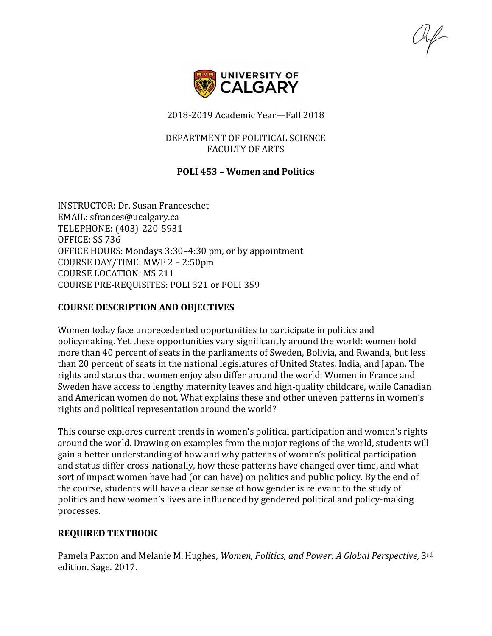

2018-2019 Academic Year—Fall 2018

## DEPARTMENT OF POLITICAL SCIENCE FACULTY OF ARTS

# **POLI 453 – Women and Politics**

INSTRUCTOR: Dr. Susan Franceschet EMAIL: sfrances@ucalgary.ca TELEPHONE: (403)-220-5931 OFFICE: SS 736 OFFICE HOURS: Mondays 3:30–4:30 pm, or by appointment COURSE DAY/TIME: MWF 2 – 2:50pm COURSE LOCATION: MS 211 COURSE PRE-REQUISITES: POLI 321 or POLI 359

# **COURSE DESCRIPTION AND OBJECTIVES**

Women today face unprecedented opportunities to participate in politics and policymaking. Yet these opportunities vary significantly around the world: women hold more than 40 percent of seats in the parliaments of Sweden, Bolivia, and Rwanda, but less than 20 percent of seats in the national legislatures of United States, India, and Japan. The rights and status that women enjoy also differ around the world: Women in France and Sweden have access to lengthy maternity leaves and high-quality childcare, while Canadian and American women do not. What explains these and other uneven patterns in women's rights and political representation around the world?

This course explores current trends in women's political participation and women's rights around the world. Drawing on examples from the major regions of the world, students will gain a better understanding of how and why patterns of women's political participation and status differ cross-nationally, how these patterns have changed over time, and what sort of impact women have had (or can have) on politics and public policy. By the end of the course, students will have a clear sense of how gender is relevant to the study of politics and how women's lives are influenced by gendered political and policy-making processes.

# **REQUIRED TEXTBOOK**

Pamela Paxton and Melanie M. Hughes, *Women, Politics, and Power: A Global Perspective,* 3rd edition. Sage. 2017.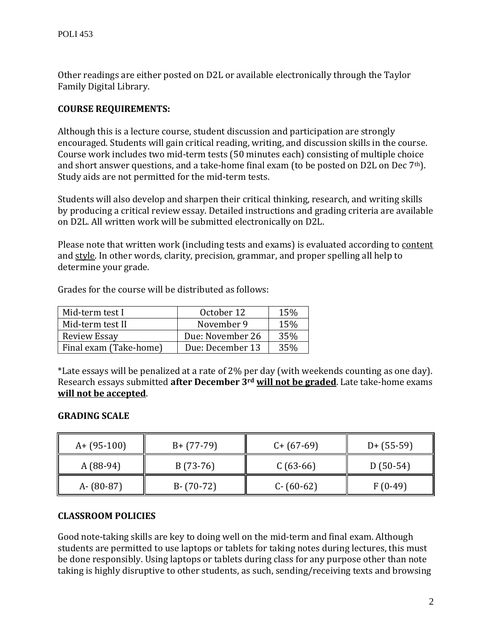Other readings are either posted on D2L or available electronically through the Taylor Family Digital Library.

# **COURSE REQUIREMENTS:**

Although this is a lecture course, student discussion and participation are strongly encouraged. Students will gain critical reading, writing, and discussion skills in the course. Course work includes two mid-term tests (50 minutes each) consisting of multiple choice and short answer questions, and a take-home final exam (to be posted on D2L on Dec 7th). Study aids are not permitted for the mid-term tests.

Students will also develop and sharpen their critical thinking, research, and writing skills by producing a critical review essay. Detailed instructions and grading criteria are available on D2L. All written work will be submitted electronically on D2L.

Please note that written work (including tests and exams) is evaluated according to content and style. In other words, clarity, precision, grammar, and proper spelling all help to determine your grade.

| Mid-term test I        | October 12       | 15% |
|------------------------|------------------|-----|
| Mid-term test II       | November 9       | 15% |
| Review Essay           | Due: November 26 | 35% |
| Final exam (Take-home) | Due: December 13 | 35% |

Grades for the course will be distributed as follows:

\*Late essays will be penalized at a rate of 2% per day (with weekends counting as one day). Research essays submitted **after December 3rd will not be graded**. Late take-home exams **will not be accepted**.

# **GRADING SCALE**

| $A + (95-100)$ | $B + (77-79)$ | $C + (67-69)$ | $D+$ (55-59) |
|----------------|---------------|---------------|--------------|
| $A(88-94)$     | $B(73-76)$    | $C(63-66)$    | $D(50-54)$   |
| $A - (80-87)$  | $B - (70-72)$ | $C - (60-62)$ | $F(0-49)$    |

# **CLASSROOM POLICIES**

Good note-taking skills are key to doing well on the mid-term and final exam. Although students are permitted to use laptops or tablets for taking notes during lectures, this must be done responsibly. Using laptops or tablets during class for any purpose other than note taking is highly disruptive to other students, as such, sending/receiving texts and browsing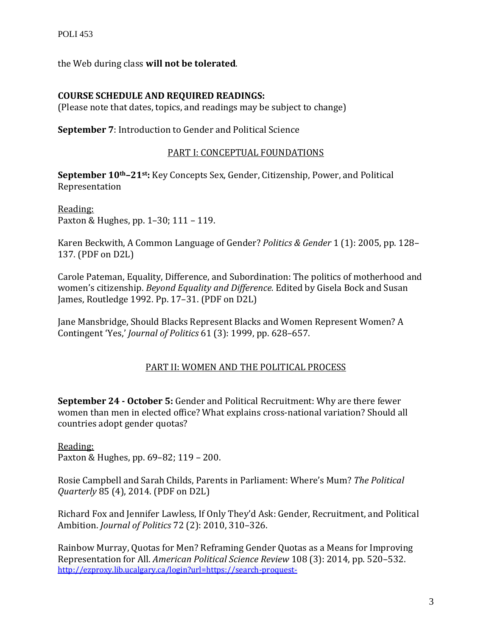the Web during class **will not be tolerated**.

# **COURSE SCHEDULE AND REQUIRED READINGS:**

(Please note that dates, topics, and readings may be subject to change)

**September 7**: Introduction to Gender and Political Science

# PART I: CONCEPTUAL FOUNDATIONS

**September 10th–21st:** Key Concepts Sex, Gender, Citizenship, Power, and Political Representation

Reading: Paxton & Hughes, pp. 1–30; 111 – 119.

Karen Beckwith, A Common Language of Gender? *Politics & Gender* 1 (1): 2005, pp. 128– 137. (PDF on D2L)

Carole Pateman, Equality, Difference, and Subordination: The politics of motherhood and women's citizenship. *Beyond Equality and Difference.* Edited by Gisela Bock and Susan James, Routledge 1992. Pp. 17–31. (PDF on D2L)

Jane Mansbridge, Should Blacks Represent Blacks and Women Represent Women? A Contingent 'Yes,' *Journal of Politics* 61 (3): 1999, pp. 628–657.

# PART II: WOMEN AND THE POLITICAL PROCESS

**September 24 - October 5:** Gender and Political Recruitment: Why are there fewer women than men in elected office? What explains cross-national variation? Should all countries adopt gender quotas?

Reading: Paxton & Hughes, pp. 69–82; 119 – 200.

Rosie Campbell and Sarah Childs, Parents in Parliament: Where's Mum? *The Political Quarterly* 85 (4), 2014. (PDF on D2L)

Richard Fox and Jennifer Lawless, If Only They'd Ask: Gender, Recruitment, and Political Ambition. *Journal of Politics* 72 (2): 2010, 310–326.

Rainbow Murray, Quotas for Men? Reframing Gender Quotas as a Means for Improving Representation for All. *American Political Science Review* 108 (3): 2014, pp. 520–532. [http://ezproxy.lib.ucalgary.ca/login?url=https://search-proquest-](http://ezproxy.lib.ucalgary.ca/login?url=https://search-proquest-com.ezproxy.lib.ucalgary.ca/docview/1555236361?accountid=9838)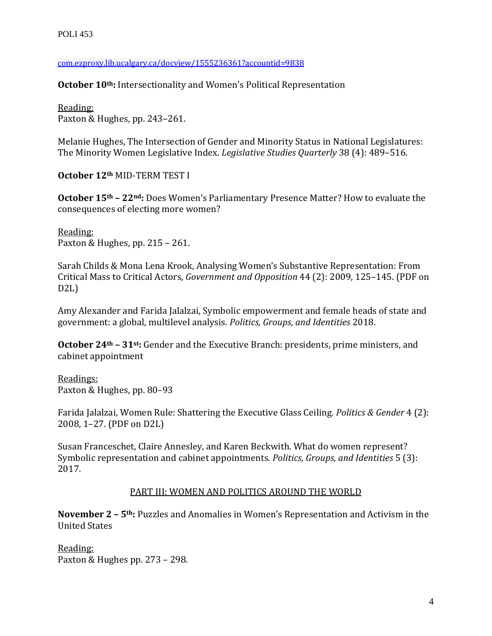[com.ezproxy.lib.ucalgary.ca/docview/1555236361?accountid=9838](http://ezproxy.lib.ucalgary.ca/login?url=https://search-proquest-com.ezproxy.lib.ucalgary.ca/docview/1555236361?accountid=9838)

**October 10th:** Intersectionality and Women's Political Representation

Reading: Paxton & Hughes, pp. 243–261.

Melanie Hughes, The Intersection of Gender and Minority Status in National Legislatures: The Minority Women Legislative Index. *Legislative Studies Quarterly* 38 (4): 489–516.

**October 12th** MID-TERM TEST I

**October 15th – 22nd:** Does Women's Parliamentary Presence Matter? How to evaluate the consequences of electing more women?

Reading: Paxton & Hughes, pp. 215 – 261.

Sarah Childs & Mona Lena Krook, Analysing Women's Substantive Representation: From Critical Mass to Critical Actors, *Government and Opposition* 44 (2): 2009, 125–145. (PDF on D2L)

Amy Alexander and Farida Jalalzai, Symbolic empowerment and female heads of state and government: a global, multilevel analysis. *Politics, Groups, and Identities* 2018.

**October 24th – 31st:** Gender and the Executive Branch: presidents, prime ministers, and cabinet appointment

Readings: Paxton & Hughes, pp. 80–93

Farida Jalalzai, Women Rule: Shattering the Executive Glass Ceiling. *Politics & Gender* 4 (2): 2008, 1–27. (PDF on D2L)

Susan Franceschet, Claire Annesley, and Karen Beckwith. What do women represent? Symbolic representation and cabinet appointments. *Politics, Groups, and Identities* 5 (3): 2017.

# PART III: WOMEN AND POLITICS AROUND THE WORLD

**November 2 – 5th:** Puzzles and Anomalies in Women's Representation and Activism in the United States

Reading: Paxton & Hughes pp. 273 – 298.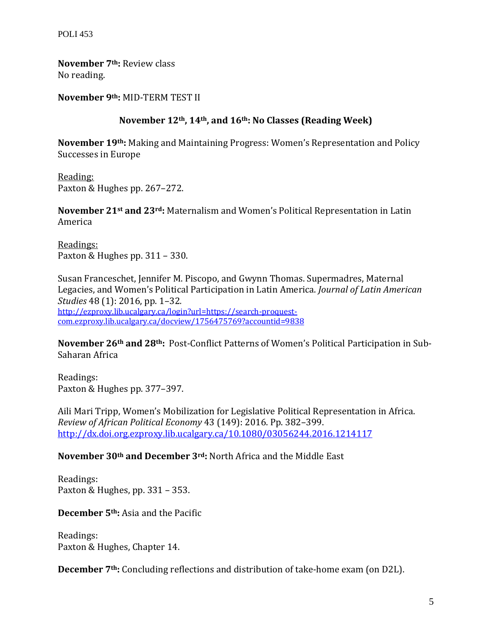POLI 453

**November 7th:** Review class No reading.

**November 9th:** MID-TERM TEST II

# **November 12th, 14th, and 16th: No Classes (Reading Week)**

**November 19th:** Making and Maintaining Progress: Women's Representation and Policy Successes in Europe

Reading: Paxton & Hughes pp. 267–272.

**November 21st and 23rd:** Maternalism and Women's Political Representation in Latin America

Readings: Paxton & Hughes pp. 311 – 330.

Susan Franceschet, Jennifer M. Piscopo, and Gwynn Thomas. Supermadres, Maternal Legacies, and Women's Political Participation in Latin America. *Journal of Latin American Studies* 48 (1): 2016, pp. 1–32*.*  [http://ezproxy.lib.ucalgary.ca/login?url=https://search-proquest](http://ezproxy.lib.ucalgary.ca/login?url=https://search-proquest-com.ezproxy.lib.ucalgary.ca/docview/1756475769?accountid=9838)[com.ezproxy.lib.ucalgary.ca/docview/1756475769?accountid=9838](http://ezproxy.lib.ucalgary.ca/login?url=https://search-proquest-com.ezproxy.lib.ucalgary.ca/docview/1756475769?accountid=9838)

**November 26th and 28th:** Post-Conflict Patterns of Women's Political Participation in Sub-Saharan Africa

Readings: Paxton & Hughes pp. 377–397.

Aili Mari Tripp, Women's Mobilization for Legislative Political Representation in Africa. *Review of African Political Economy* 43 (149): 2016. Pp. 382–399. <http://dx.doi.org.ezproxy.lib.ucalgary.ca/10.1080/03056244.2016.1214117>

## **November 30th and December 3rd:** North Africa and the Middle East

Readings: Paxton & Hughes, pp. 331 – 353.

**December 5th:** Asia and the Pacific

Readings: Paxton & Hughes, Chapter 14.

**December 7th:** Concluding reflections and distribution of take-home exam (on D2L).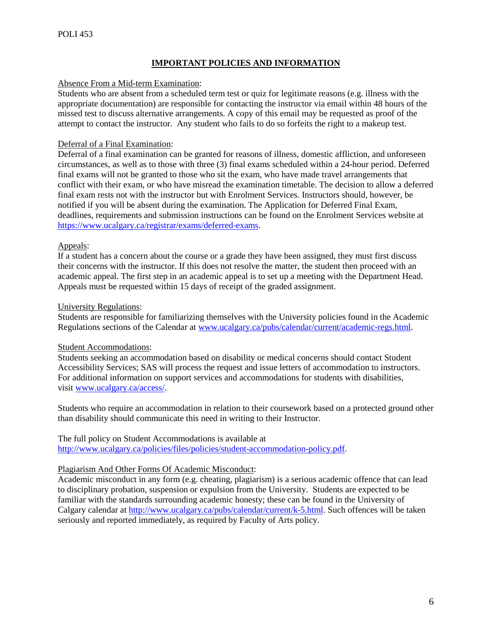## **IMPORTANT POLICIES AND INFORMATION**

#### Absence From a Mid-term Examination:

Students who are absent from a scheduled term test or quiz for legitimate reasons (e.g. illness with the appropriate documentation) are responsible for contacting the instructor via email within 48 hours of the missed test to discuss alternative arrangements. A copy of this email may be requested as proof of the attempt to contact the instructor. Any student who fails to do so forfeits the right to a makeup test.

## Deferral of a Final Examination:

Deferral of a final examination can be granted for reasons of illness, domestic affliction, and unforeseen circumstances, as well as to those with three (3) final exams scheduled within a 24-hour period. Deferred final exams will not be granted to those who sit the exam, who have made travel arrangements that conflict with their exam, or who have misread the examination timetable. The decision to allow a deferred final exam rests not with the instructor but with Enrolment Services. Instructors should, however, be notified if you will be absent during the examination. The Application for Deferred Final Exam, deadlines, requirements and submission instructions can be found on the Enrolment Services website at [https://www.ucalgary.ca/registrar/exams/deferred-exams.](https://www.ucalgary.ca/registrar/exams/deferred-exams)

## Appeals:

If a student has a concern about the course or a grade they have been assigned, they must first discuss their concerns with the instructor. If this does not resolve the matter, the student then proceed with an academic appeal. The first step in an academic appeal is to set up a meeting with the Department Head. Appeals must be requested within 15 days of receipt of the graded assignment.

## University Regulations:

Students are responsible for familiarizing themselves with the University policies found in the Academic Regulations sections of the Calendar a[t www.ucalgary.ca/pubs/calendar/current/academic-regs.html.](http://www.ucalgary.ca/pubs/calendar/current/academic-regs.html)

## Student Accommodations:

Students seeking an accommodation based on disability or medical concerns should contact Student Accessibility Services; SAS will process the request and issue letters of accommodation to instructors. For additional information on support services and accommodations for students with disabilities, visit [www.ucalgary.ca/access/.](http://www.ucalgary.ca/access/)

Students who require an accommodation in relation to their coursework based on a protected ground other than disability should communicate this need in writing to their Instructor.

## The full policy on Student Accommodations is available at [http://www.ucalgary.ca/policies/files/policies/student-accommodation-policy.pdf.](http://www.ucalgary.ca/policies/files/policies/student-accommodation-policy.pdf)

## Plagiarism And Other Forms Of Academic Misconduct:

Academic misconduct in any form (e.g. cheating, plagiarism) is a serious academic offence that can lead to disciplinary probation, suspension or expulsion from the University. Students are expected to be familiar with the standards surrounding academic honesty; these can be found in the University of Calgary calendar at [http://www.ucalgary.ca/pubs/calendar/current/k-5.html.](http://www.ucalgary.ca/pubs/calendar/current/k-5.html) Such offences will be taken seriously and reported immediately, as required by Faculty of Arts policy.